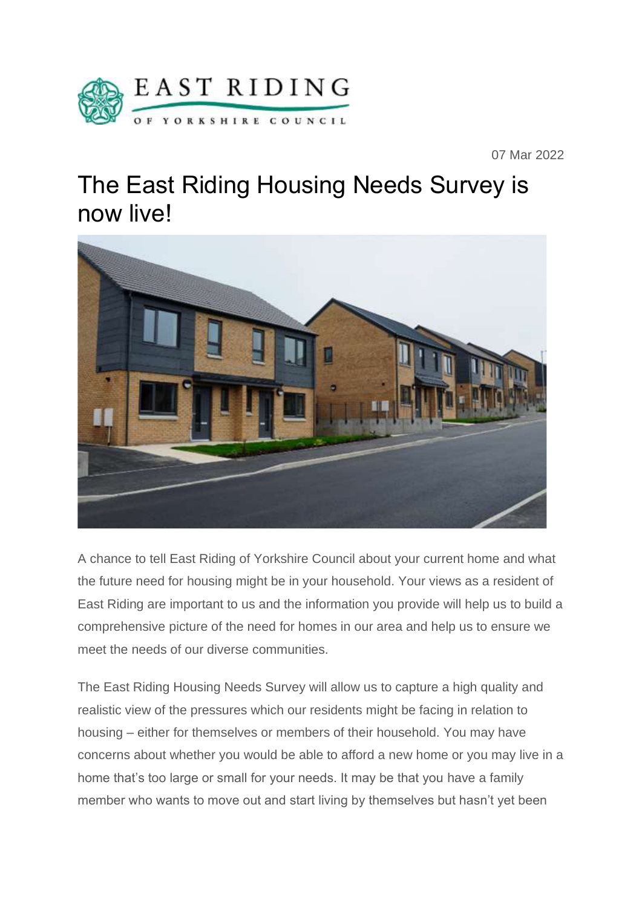

07 Mar 2022

## The East Riding Housing Needs Survey is now live!



A chance to tell East Riding of Yorkshire Council about your current home and what the future need for housing might be in your household. Your views as a resident of East Riding are important to us and the information you provide will help us to build a comprehensive picture of the need for homes in our area and help us to ensure we meet the needs of our diverse communities.

The East Riding Housing Needs Survey will allow us to capture a high quality and realistic view of the pressures which our residents might be facing in relation to housing – either for themselves or members of their household. You may have concerns about whether you would be able to afford a new home or you may live in a home that's too large or small for your needs. It may be that you have a family member who wants to move out and start living by themselves but hasn't yet been